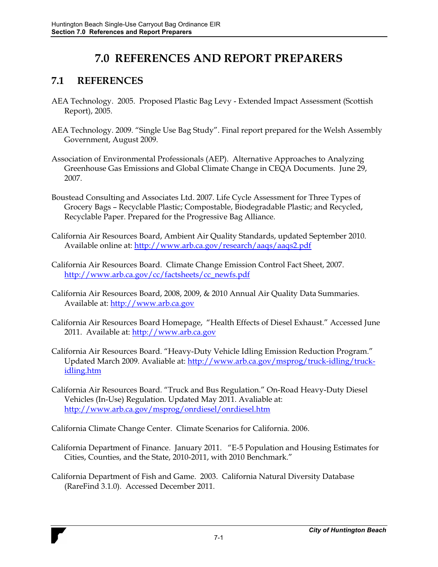## **7.0 REFERENCES AND REPORT PREPARERS**

## **7.1 REFERENCES**

- AEA Technology. 2005. Proposed Plastic Bag Levy Extended Impact Assessment (Scottish Report), 2005.
- AEA Technology. 2009. "Single Use Bag Study". Final report prepared for the Welsh Assembly Government, August 2009.
- Association of Environmental Professionals (AEP). Alternative Approaches to Analyzing Greenhouse Gas Emissions and Global Climate Change in CEQA Documents. June 29, 2007.
- Boustead Consulting and Associates Ltd. 2007. Life Cycle Assessment for Three Types of Grocery Bags - Recyclable Plastic; Compostable, Biodegradable Plastic; and Recycled, Recyclable Paper. Prepared for the Progressive Bag Alliance.
- California Air Resources Board, Ambient Air Quality Standards, updated September 2010. Available online at: http://www.arb.ca.gov/research/aaqs/aaqs2.pdf
- California Air Resources Board. Climate Change Emission Control Fact Sheet, 2007. http://www.arb.ca.gov/cc/factsheets/cc\_newfs.pdf
- California Air Resources Board, 2008, 2009, & 2010 Annual Air Quality Data Summaries. Available at: http://www.arb.ca.gov
- California Air Resources Board Homepage, "Health Effects of Diesel Exhaust." Accessed June 2011. Available at: http://www.arb.ca.gov
- California Air Resources Board. "Heavy-Duty Vehicle Idling Emission Reduction Program." Updated March 2009. Avaliable at: http://www.arb.ca.gov/msprog/truck-idling/truckidling.htm
- California Air Resources Board. "Truck and Bus Regulation." On-Road Heavy-Duty Diesel Vehicles (In-Use) Regulation. Updated May 2011. Avaliable at: http://www.arb.ca.gov/msprog/onrdiesel/onrdiesel.htm
- California Climate Change Center. Climate Scenarios for California. 2006.
- California Department of Finance. January 2011. "E-5 Population and Housing Estimates for Cities, Counties, and the State, 2010-2011, with 2010 Benchmark."
- California Department of Fish and Game. 2003. California Natural Diversity Database (RareFind 3.1.0). Accessed December 2011.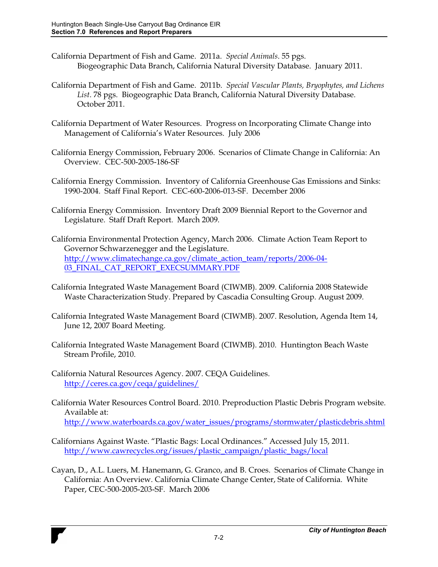- California Department of Fish and Game. 2011a. *Special Animals*. 55 pgs. Biogeographic Data Branch, California Natural Diversity Database. January 2011.
- California Department of Fish and Game. 2011b. *Special Vascular Plants, Bryophytes, and Lichens List*. 78 pgs. Biogeographic Data Branch, California Natural Diversity Database. October 2011.
- California Department of Water Resources. Progress on Incorporating Climate Change into Management of California's Water Resources. July 2006
- California Energy Commission, February 2006. Scenarios of Climate Change in California: An Overview. CEC-500-2005-186-SF
- California Energy Commission. Inventory of California Greenhouse Gas Emissions and Sinks: 1990-2004. Staff Final Report. CEC-600-2006-013-SF. December 2006
- California Energy Commission. Inventory Draft 2009 Biennial Report to the Governor and Legislature. Staff Draft Report. March 2009.
- California Environmental Protection Agency, March 2006. Climate Action Team Report to Governor Schwarzenegger and the Legislature. http://www.climatechange.ca.gov/climate\_action\_team/reports/2006-04- 03\_FINAL\_CAT\_REPORT\_EXECSUMMARY.PDF
- California Integrated Waste Management Board (CIWMB). 2009. California 2008 Statewide Waste Characterization Study. Prepared by Cascadia Consulting Group. August 2009.
- California Integrated Waste Management Board (CIWMB). 2007. Resolution, Agenda Item 14, June 12, 2007 Board Meeting.
- California Integrated Waste Management Board (CIWMB). 2010. Huntington Beach Waste Stream Profile, 2010.
- California Natural Resources Agency. 2007. CEQA Guidelines. http://ceres.ca.gov/ceqa/guidelines/
- California Water Resources Control Board. 2010. Preproduction Plastic Debris Program website. Available at: http://www.waterboards.ca.gov/water\_issues/programs/stormwater/plasticdebris.shtml
- Californians Against Waste. "Plastic Bags: Local Ordinances." Accessed July 15, 2011. http://www.cawrecycles.org/issues/plastic\_campaign/plastic\_bags/local
- Cayan, D., A.L. Luers, M. Hanemann, G. Granco, and B. Croes. Scenarios of Climate Change in California: An Overview. California Climate Change Center, State of California. White Paper, CEC-500-2005-203-SF. March 2006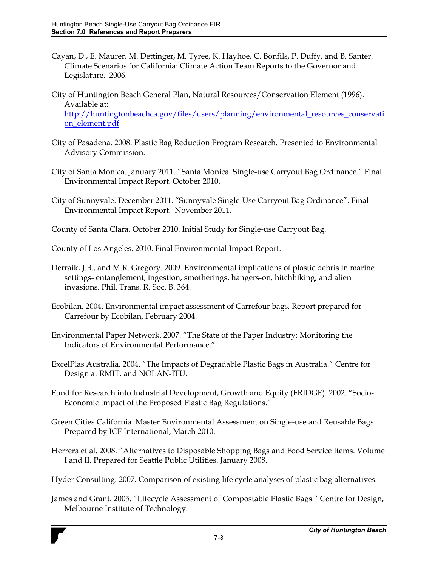- Cayan, D., E. Maurer, M. Dettinger, M. Tyree, K. Hayhoe, C. Bonfils, P. Duffy, and B. Santer. Climate Scenarios for California: Climate Action Team Reports to the Governor and Legislature. 2006.
- City of Huntington Beach General Plan, Natural Resources/Conservation Element (1996). Available at: http://huntingtonbeachca.gov/files/users/planning/environmental\_resources\_conservati on\_element.pdf
- City of Pasadena. 2008. Plastic Bag Reduction Program Research. Presented to Environmental Advisory Commission.
- City of Santa Monica. January 2011. "Santa Monica Single-use Carryout Bag Ordinance." Final Environmental Impact Report. October 2010.
- City of Sunnyvale. December 2011. "Sunnyvale Single-Use Carryout Bag Ordinance". Final Environmental Impact Report. November 2011.
- County of Santa Clara. October 2010. Initial Study for Single-use Carryout Bag.
- County of Los Angeles. 2010. Final Environmental Impact Report.
- Derraik, J.B., and M.R. Gregory. 2009. Environmental implications of plastic debris in marine settings- entanglement, ingestion, smotherings, hangers-on, hitchhiking, and alien invasions. Phil. Trans. R. Soc. B. 364.
- Ecobilan. 2004. Environmental impact assessment of Carrefour bags. Report prepared for Carrefour by Ecobilan, February 2004.
- Environmental Paper Network. 2007. ´The State of the Paper Industry: Monitoring the Indicators of Environmental Performance."
- ExcelPlas Australia. 2004. "The Impacts of Degradable Plastic Bags in Australia." Centre for Design at RMIT, and NOLAN-ITU.
- Fund for Research into Industrial Development, Growth and Equity (FRIDGE). 2002. "Socio-Economic Impact of the Proposed Plastic Bag Regulations."
- Green Cities California. Master Environmental Assessment on Single-use and Reusable Bags. Prepared by ICF International, March 2010.
- Herrera et al. 2008. "Alternatives to Disposable Shopping Bags and Food Service Items. Volume I and II. Prepared for Seattle Public Utilities. January 2008.
- Hyder Consulting. 2007. Comparison of existing life cycle analyses of plastic bag alternatives.
- James and Grant. 2005. "Lifecycle Assessment of Compostable Plastic Bags." Centre for Design, Melbourne Institute of Technology.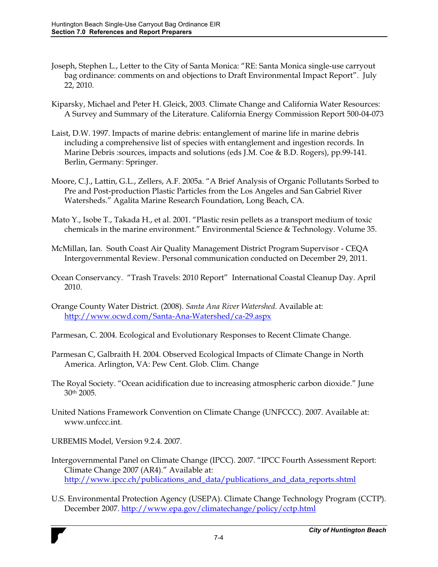- Joseph, Stephen L., Letter to the City of Santa Monica: "RE: Santa Monica single-use carryout bag ordinance: comments on and objections to Draft Environmental Impact Report". July 22, 2010.
- Kiparsky, Michael and Peter H. Gleick, 2003. Climate Change and California Water Resources: A Survey and Summary of the Literature. California Energy Commission Report 500-04-073
- Laist, D.W. 1997. Impacts of marine debris: entanglement of marine life in marine debris including a comprehensive list of species with entanglement and ingestion records. In Marine Debris :sources, impacts and solutions (eds J.M. Coe & B.D. Rogers), pp.99-141. Berlin, Germany: Springer.
- Moore, C.J., Lattin, G.L., Zellers, A.F. 2005a. "A Brief Analysis of Organic Pollutants Sorbed to Pre and Post-production Plastic Particles from the Los Angeles and San Gabriel River Watersheds." Agalita Marine Research Foundation, Long Beach, CA.
- Mato Y., Isobe T., Takada H., et al. 2001. "Plastic resin pellets as a transport medium of toxic chemicals in the marine environment." Environmental Science & Technology. Volume 35.
- McMillan, Ian. South Coast Air Quality Management District Program Supervisor CEQA Intergovernmental Review. Personal communication conducted on December 29, 2011.
- Ocean Conservancy. "Trash Travels: 2010 Report" International Coastal Cleanup Day. April 2010.
- Orange County Water District. (2008). *Santa Ana River Watershed.* Available at: http://www.ocwd.com/Santa-Ana-Watershed/ca-29.aspx
- Parmesan, C. 2004. Ecological and Evolutionary Responses to Recent Climate Change.
- Parmesan C, Galbraith H. 2004. Observed Ecological Impacts of Climate Change in North America. Arlington, VA: Pew Cent. Glob. Clim. Change
- The Royal Society. "Ocean acidification due to increasing atmospheric carbon dioxide." June 30th 2005.
- United Nations Framework Convention on Climate Change (UNFCCC). 2007. Available at: www.unfccc.int.

URBEMIS Model, Version 9.2.4. 2007.

- Intergovernmental Panel on Climate Change (IPCC). 2007. "IPCC Fourth Assessment Report: Climate Change 2007 (AR4)." Available at: http://www.ipcc.ch/publications\_and\_data/publications\_and\_data\_reports.shtml
- U.S. Environmental Protection Agency (USEPA). Climate Change Technology Program (CCTP). December 2007. http://www.epa.gov/climatechange/policy/cctp.html